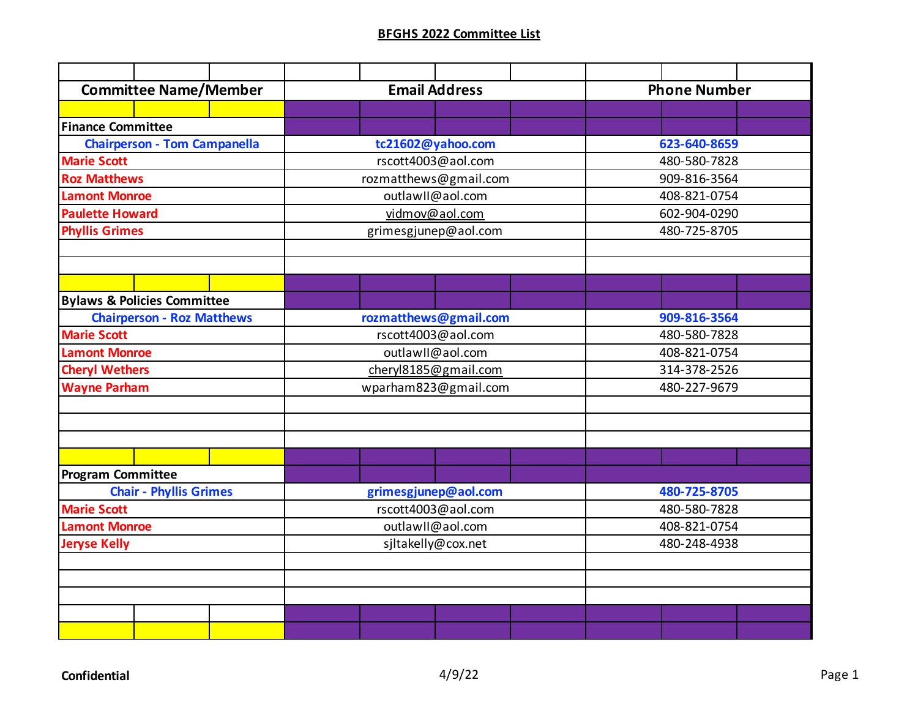| <b>Committee Name/Member</b>           | <b>Email Address</b>  | <b>Phone Number</b> |  |  |  |
|----------------------------------------|-----------------------|---------------------|--|--|--|
|                                        |                       |                     |  |  |  |
| <b>Finance Committee</b>               |                       |                     |  |  |  |
| <b>Chairperson - Tom Campanella</b>    | tc21602@yahoo.com     | 623-640-8659        |  |  |  |
| <b>Marie Scott</b>                     | rscott4003@aol.com    | 480-580-7828        |  |  |  |
| <b>Roz Matthews</b>                    | rozmatthews@gmail.com | 909-816-3564        |  |  |  |
| <b>Lamont Monroe</b>                   | outlawII@aol.com      | 408-821-0754        |  |  |  |
| <b>Paulette Howard</b>                 | vidmov@aol.com        | 602-904-0290        |  |  |  |
| <b>Phyllis Grimes</b>                  | grimesgjunep@aol.com  | 480-725-8705        |  |  |  |
|                                        |                       |                     |  |  |  |
|                                        |                       |                     |  |  |  |
|                                        |                       |                     |  |  |  |
| <b>Bylaws &amp; Policies Committee</b> |                       |                     |  |  |  |
| <b>Chairperson - Roz Matthews</b>      | rozmatthews@gmail.com | 909-816-3564        |  |  |  |
| <b>Marie Scott</b>                     | rscott4003@aol.com    | 480-580-7828        |  |  |  |
| <b>Lamont Monroe</b>                   | outlawII@aol.com      | 408-821-0754        |  |  |  |
| <b>Cheryl Wethers</b>                  | cheryl8185@gmail.com  | 314-378-2526        |  |  |  |
| <b>Wayne Parham</b>                    | wparham823@gmail.com  | 480-227-9679        |  |  |  |
|                                        |                       |                     |  |  |  |
|                                        |                       |                     |  |  |  |
|                                        |                       |                     |  |  |  |
|                                        |                       |                     |  |  |  |
| <b>Program Committee</b>               |                       |                     |  |  |  |
| <b>Chair - Phyllis Grimes</b>          | grimesgjunep@aol.com  | 480-725-8705        |  |  |  |
| <b>Marie Scott</b>                     | rscott4003@aol.com    | 480-580-7828        |  |  |  |
| <b>Lamont Monroe</b>                   | outlawII@aol.com      | 408-821-0754        |  |  |  |
| <b>Jeryse Kelly</b>                    | sjltakelly@cox.net    | 480-248-4938        |  |  |  |
|                                        |                       |                     |  |  |  |
|                                        |                       |                     |  |  |  |
|                                        |                       |                     |  |  |  |
|                                        |                       |                     |  |  |  |
|                                        |                       |                     |  |  |  |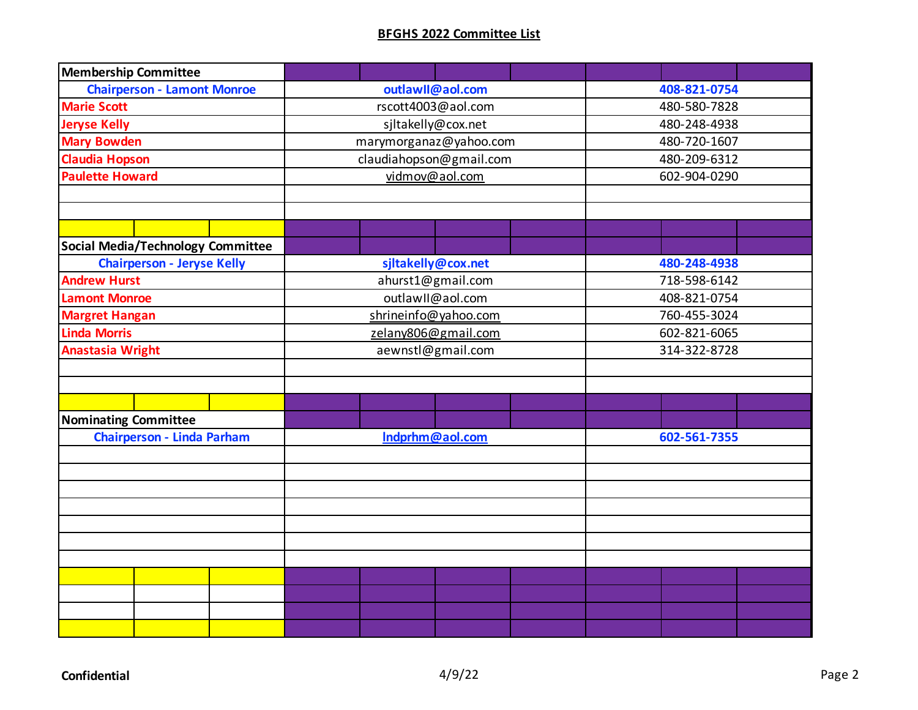| <b>Membership Committee</b>              |                         |              |  |  |
|------------------------------------------|-------------------------|--------------|--|--|
| <b>Chairperson - Lamont Monroe</b>       | outlawll@aol.com        | 408-821-0754 |  |  |
| <b>Marie Scott</b>                       | rscott4003@aol.com      | 480-580-7828 |  |  |
| <b>Jeryse Kelly</b>                      | sjltakelly@cox.net      | 480-248-4938 |  |  |
| <b>Mary Bowden</b>                       | marymorganaz@yahoo.com  | 480-720-1607 |  |  |
| <b>Claudia Hopson</b>                    | claudiahopson@gmail.com | 480-209-6312 |  |  |
| <b>Paulette Howard</b>                   | vidmov@aol.com          | 602-904-0290 |  |  |
|                                          |                         |              |  |  |
|                                          |                         |              |  |  |
|                                          |                         |              |  |  |
| <b>Social Media/Technology Committee</b> |                         |              |  |  |
| <b>Chairperson - Jeryse Kelly</b>        | sjltakelly@cox.net      | 480-248-4938 |  |  |
| <b>Andrew Hurst</b>                      | ahurst1@gmail.com       | 718-598-6142 |  |  |
| <b>Lamont Monroe</b>                     | outlawII@aol.com        | 408-821-0754 |  |  |
| <b>Margret Hangan</b>                    | shrineinfo@yahoo.com    | 760-455-3024 |  |  |
| <b>Linda Morris</b>                      | zelany806@gmail.com     | 602-821-6065 |  |  |
| <b>Anastasia Wright</b>                  | aewnstl@gmail.com       | 314-322-8728 |  |  |
|                                          |                         |              |  |  |
|                                          |                         |              |  |  |
|                                          |                         |              |  |  |
| Nominating Committee                     |                         |              |  |  |
| <b>Chairperson - Linda Parham</b>        | Indprhm@aol.com         | 602-561-7355 |  |  |
|                                          |                         |              |  |  |
|                                          |                         |              |  |  |
|                                          |                         |              |  |  |
|                                          |                         |              |  |  |
|                                          |                         |              |  |  |
|                                          |                         |              |  |  |
|                                          |                         |              |  |  |
|                                          |                         |              |  |  |
|                                          |                         |              |  |  |
|                                          |                         |              |  |  |
|                                          |                         |              |  |  |